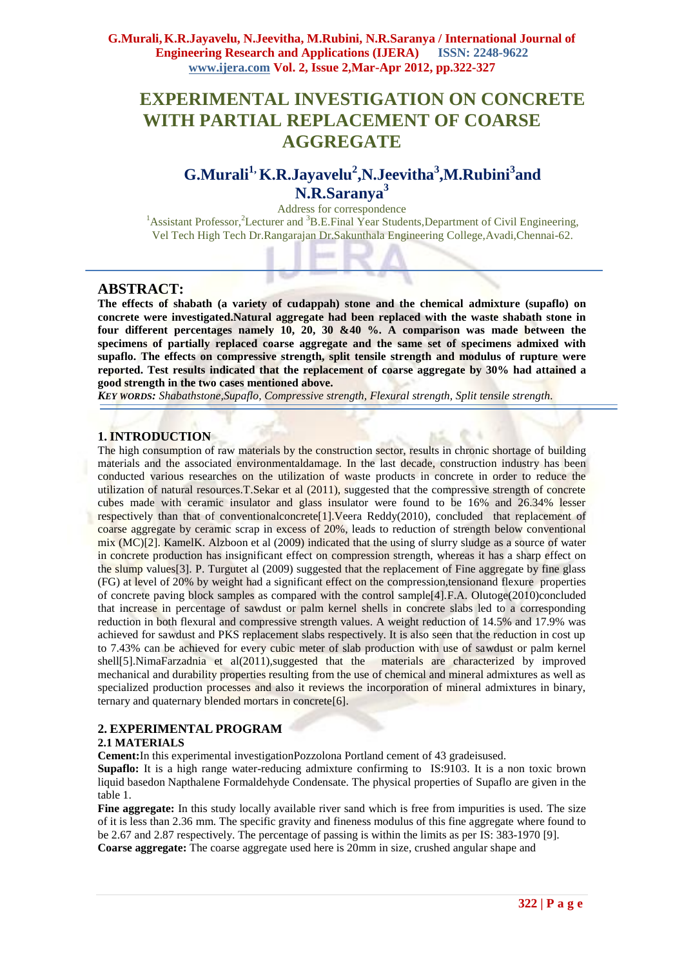# **EXPERIMENTAL INVESTIGATION ON CONCRETE WITH PARTIAL REPLACEMENT OF COARSE AGGREGATE**

## **G.Murali1, K.R.Jayavelu<sup>2</sup> ,N.Jeevitha<sup>3</sup> ,M.Rubini<sup>3</sup> and N.R.Saranya<sup>3</sup>**

Address for correspondence <sup>1</sup>Assistant Professor,<sup>2</sup>Lecturer and <sup>3</sup>B.E.Final Year Students,Department of Civil Engineering, Vel Tech High Tech Dr.Rangarajan Dr.Sakunthala Engineering College,Avadi,Chennai-62.

## **ABSTRACT:**

**The effects of shabath (a variety of cudappah) stone and the chemical admixture (supaflo) on concrete were investigated.Natural aggregate had been replaced with the waste shabath stone in four different percentages namely 10, 20, 30 &40 %. A comparison was made between the specimens of partially replaced coarse aggregate and the same set of specimens admixed with supaflo. The effects on compressive strength, split tensile strength and modulus of rupture were reported. Test results indicated that the replacement of coarse aggregate by 30% had attained a good strength in the two cases mentioned above.**

*KEY WORDS: Shabathstone,Supaflo, Compressive strength, Flexural strength, Split tensile strength.*

#### **1. INTRODUCTION**

The high consumption of raw materials by the construction sector, results in chronic shortage of building materials and the associated environmentaldamage. In the last decade, construction industry has been conducted various researches on the utilization of waste products in concrete in order to reduce the utilization of natural resources.T.Sekar et al (2011), suggested that the compressive strength of concrete cubes made with ceramic insulator and glass insulator were found to be 16% and 26.34% lesser respectively than that of conventionalconcrete[1].Veera Reddy(2010), concluded that replacement of coarse aggregate by ceramic scrap in excess of 20%, leads to reduction of strength below conventional mix (MC)[2]. KamelK. Alzboon et al (2009) indicated that the using of slurry sludge as a source of water in concrete production has insignificant effect on compression strength, whereas it has a sharp effect on the slump values[3]. P. Turgutet al (2009) suggested that the replacement of Fine aggregate by fine glass (FG) at level of 20% by weight had a significant effect on the compression,tensionand flexure properties of concrete paving block samples as compared with the control sample[4].F.A. Olutoge(2010)concluded that increase in percentage of sawdust or palm kernel shells in concrete slabs led to a corresponding reduction in both flexural and compressive strength values. A weight reduction of 14.5% and 17.9% was achieved for sawdust and PKS replacement slabs respectively. It is also seen that the reduction in cost up to 7.43% can be achieved for every cubic meter of slab production with use of sawdust or palm kernel shell[5].NimaFarzadnia et al(2011),suggested that the materials are characterized by improved mechanical and durability properties resulting from the use of chemical and mineral admixtures as well as specialized production processes and also it reviews the incorporation of mineral admixtures in binary, ternary and quaternary blended mortars in concrete<sup>[6]</sup>.

#### **2. EXPERIMENTAL PROGRAM**

#### **2.1 MATERIALS**

**Cement:**In this experimental investigationPozzolona Portland cement of 43 gradeisused.

**Supaflo:** It is a high range water-reducing admixture confirming to IS:9103. It is a non toxic brown liquid basedon Napthalene Formaldehyde Condensate. The physical properties of Supaflo are given in the table 1.

Fine aggregate: In this study locally available river sand which is free from impurities is used. The size of it is less than 2.36 mm. The specific gravity and fineness modulus of this fine aggregate where found to be 2.67 and 2.87 respectively. The percentage of passing is within the limits as per IS: 383-1970 [9]. **Coarse aggregate:** The coarse aggregate used here is 20mm in size, crushed angular shape and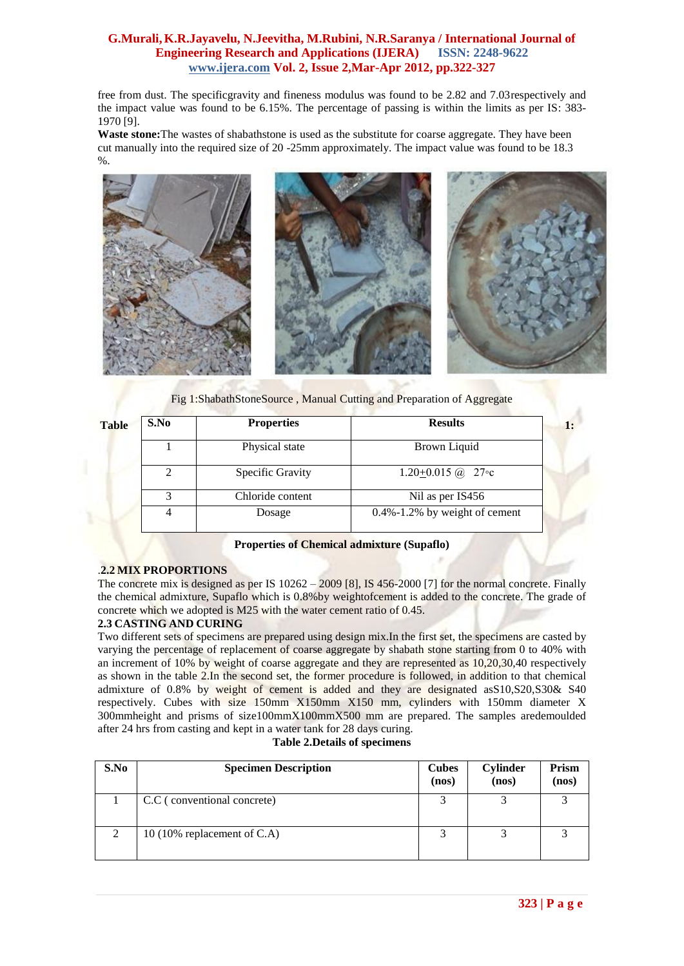free from dust. The specificgravity and fineness modulus was found to be 2.82 and 7.03respectively and the impact value was found to be 6.15%. The percentage of passing is within the limits as per IS: 383- 1970 [9].

**Waste stone:**The wastes of shabathstone is used as the substitute for coarse aggregate. They have been cut manually into the required size of 20 -25mm approximately. The impact value was found to be 18.3 %.



Fig 1:ShabathStoneSource , Manual Cutting and Preparation of Aggregate

| S.No          | <b>Properties</b> | <b>Results</b>                      |  |  |  |
|---------------|-------------------|-------------------------------------|--|--|--|
|               | Physical state    | Brown Liquid                        |  |  |  |
| 2             | Specific Gravity  | $1.20+0.015$ ( <i>a</i> ) 27 ° c    |  |  |  |
| $\mathcal{R}$ | Chloride content  | Nil as per IS456                    |  |  |  |
|               | Dosage            | $0.4\% - 1.2\%$ by weight of cement |  |  |  |

#### **Properties of Chemical admixture (Supaflo)**

## .**2.2 MIX PROPORTIONS**

The concrete mix is designed as per IS  $10262 - 2009$  [8], IS 456-2000 [7] for the normal concrete. Finally the chemical admixture, Supaflo which is 0.8%by weightofcement is added to the concrete. The grade of concrete which we adopted is M25 with the water cement ratio of 0.45.

#### **2.3 CASTING AND CURING**

Two different sets of specimens are prepared using design mix.In the first set, the specimens are casted by varying the percentage of replacement of coarse aggregate by shabath stone starting from 0 to 40% with an increment of 10% by weight of coarse aggregate and they are represented as 10,20,30,40 respectively as shown in the table 2.In the second set, the former procedure is followed, in addition to that chemical admixture of 0.8% by weight of cement is added and they are designated asS10,S20,S30& S40 respectively. Cubes with size 150mm X150mm X150 mm, cylinders with 150mm diameter X 300mmheight and prisms of size100mmX100mmX500 mm are prepared. The samples aredemoulded after 24 hrs from casting and kept in a water tank for 28 days curing.

#### **Table 2.Details of specimens**

| S.No          | <b>Specimen Description</b>    | <b>Cubes</b><br>(nos) | <b>Cylinder</b><br>(nos) | Prism<br>(nos) |
|---------------|--------------------------------|-----------------------|--------------------------|----------------|
|               | C.C (conventional concrete)    |                       |                          |                |
| $\mathcal{D}$ | 10 (10% replacement of $C.A$ ) |                       |                          |                |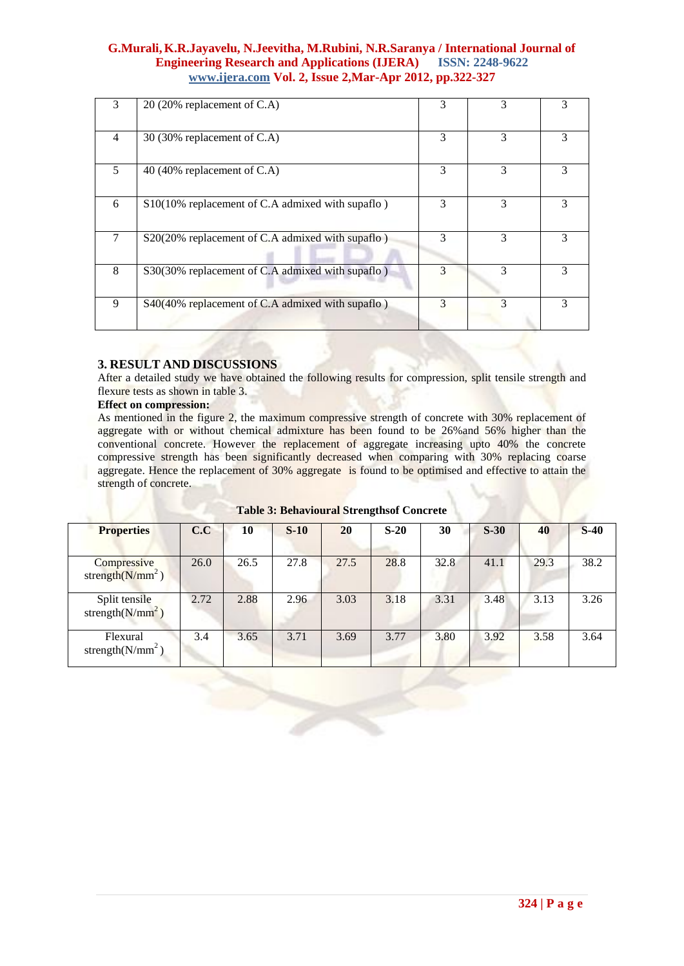| 3 | 20 (20% replacement of C.A)                      | 3 | 3             | 3 |
|---|--------------------------------------------------|---|---------------|---|
| 4 | 30 (30% replacement of C.A)                      | 3 | 3             | 3 |
| 5 | 40 (40% replacement of C.A)                      | 3 | $\mathcal{F}$ | 3 |
| 6 | S10(10% replacement of C.A admixed with supaflo) | 3 | 3             | 3 |
| 7 | S20(20% replacement of C.A admixed with supaflo) | 3 | 3             | 3 |
| 8 | S30(30% replacement of C.A admixed with supaflo) | 3 | 3             | 3 |
| 9 | S40(40% replacement of C.A admixed with supaflo) | 3 | 3             | 3 |

#### **3. RESULT AND DISCUSSIONS**

After a detailed study we have obtained the following results for compression, split tensile strength and flexure tests as shown in table 3.

#### **Effect on compression:**

As mentioned in the figure 2, the maximum compressive strength of concrete with 30% replacement of aggregate with or without chemical admixture has been found to be 26%and 56% higher than the conventional concrete. However the replacement of aggregate increasing upto 40% the concrete compressive strength has been significantly decreased when comparing with 30% replacing coarse aggregate. Hence the replacement of 30% aggregate is found to be optimised and effective to attain the strength of concrete.

| <b>Properties</b>                     | C.C  | 10   | $S-10$ | 20   | $S-20$ | 30   | $S-30$ | 40   | $S-40$ |
|---------------------------------------|------|------|--------|------|--------|------|--------|------|--------|
| Compressive<br>strength $(N/mm^2)$    | 26.0 | 26.5 | 27.8   | 27.5 | 28.8   | 32.8 | 41.1   | 29.3 | 38.2   |
| Split tensile<br>strength( $N/mm^2$ ) | 2.72 | 2.88 | 2.96   | 3.03 | 3.18   | 3.31 | 3.48   | 3.13 | 3.26   |
| Flexural<br>strength $(N/mm^2)$       | 3.4  | 3.65 | 3.71   | 3.69 | 3.77   | 3.80 | 3.92   | 3.58 | 3.64   |

**Table 3: Behavioural Strengthsof Concrete**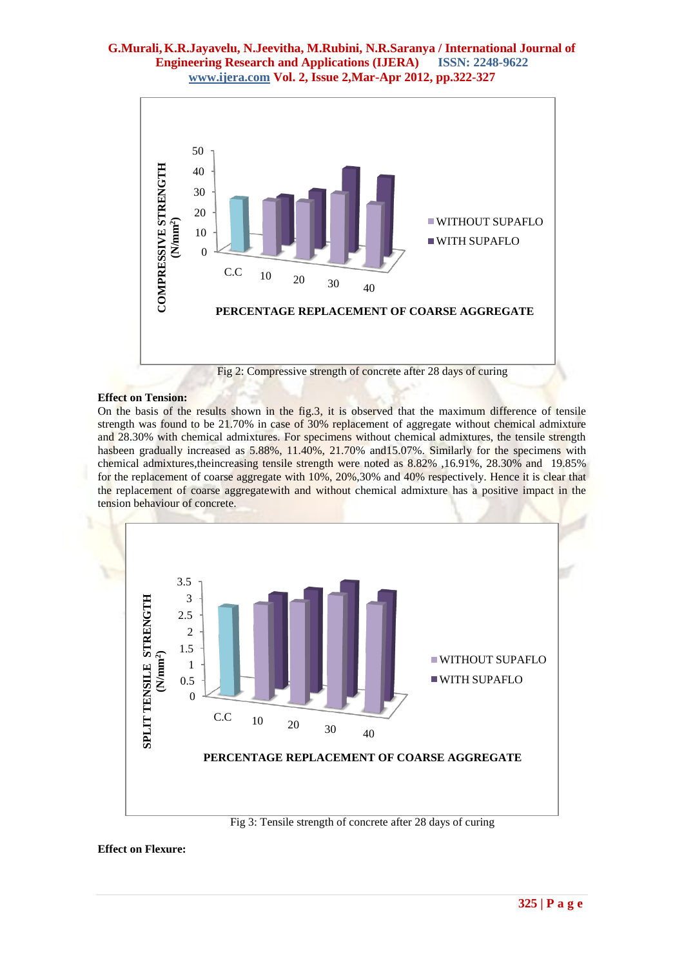

#### **Effect on Tension:**

On the basis of the results shown in the fig.3, it is observed that the maximum difference of tensile strength was found to be 21.70% in case of 30% replacement of aggregate without chemical admixture and 28.30% with chemical admixtures. For specimens without chemical admixtures, the tensile strength hasbeen gradually increased as 5.88%, 11.40%, 21.70% and 15.07%. Similarly for the specimens with chemical admixtures,theincreasing tensile strength were noted as 8.82% ,16.91%, 28.30% and 19.85% for the replacement of coarse aggregate with 10%, 20%,30% and 40% respectively. Hence it is clear that the replacement of coarse aggregatewith and without chemical admixture has a positive impact in the tension behaviour of concrete.



#### **Effect on Flexure:**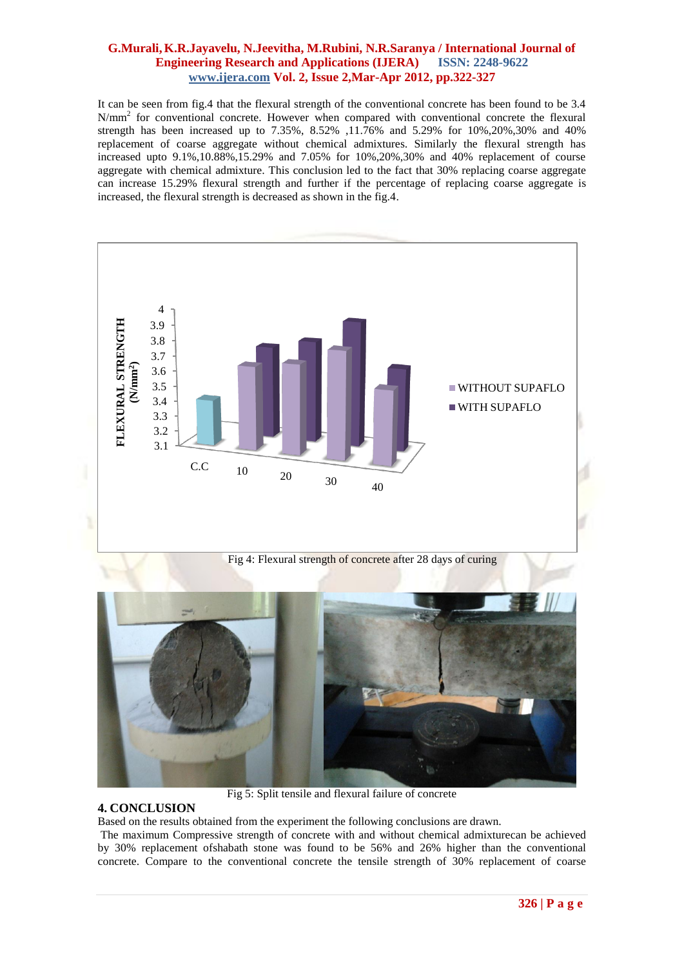It can be seen from fig.4 that the flexural strength of the conventional concrete has been found to be 3.4 N/mm<sup>2</sup> for conventional concrete. However when compared with conventional concrete the flexural strength has been increased up to 7.35%, 8.52% ,11.76% and 5.29% for 10%,20%,30% and 40% replacement of coarse aggregate without chemical admixtures. Similarly the flexural strength has increased upto 9.1%,10.88%,15.29% and 7.05% for 10%,20%,30% and 40% replacement of course aggregate with chemical admixture. This conclusion led to the fact that 30% replacing coarse aggregate can increase 15.29% flexural strength and further if the percentage of replacing coarse aggregate is increased, the flexural strength is decreased as shown in the fig.4.





#### **4. CONCLUSION**

Based on the results obtained from the experiment the following conclusions are drawn.

The maximum Compressive strength of concrete with and without chemical admixturecan be achieved by 30% replacement ofshabath stone was found to be 56% and 26% higher than the conventional concrete. Compare to the conventional concrete the tensile strength of 30% replacement of coarse